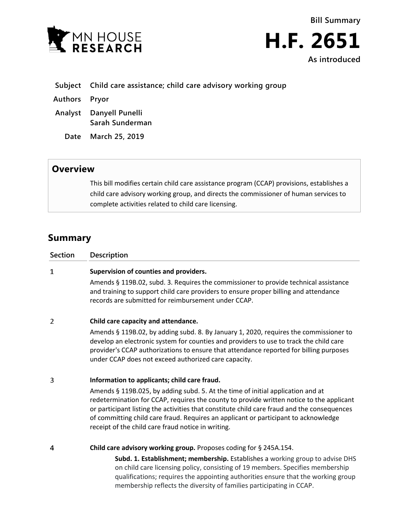



- **Subject Child care assistance; child care advisory working group**
- **Authors Pryor**
- **Analyst Danyell Punelli Sarah Sunderman**
	- **Date March 25, 2019**

## **Overview**

This bill modifies certain child care assistance program (CCAP) provisions, establishes a child care advisory working group, and directs the commissioner of human services to complete activities related to child care licensing.

## **Summary**

| Section | <b>Description</b>                                                                                                                                                                                                                                                                                                                                                                                                      |
|---------|-------------------------------------------------------------------------------------------------------------------------------------------------------------------------------------------------------------------------------------------------------------------------------------------------------------------------------------------------------------------------------------------------------------------------|
| 1       | Supervision of counties and providers.                                                                                                                                                                                                                                                                                                                                                                                  |
|         | Amends § 119B.02, subd. 3. Requires the commissioner to provide technical assistance<br>and training to support child care providers to ensure proper billing and attendance<br>records are submitted for reimbursement under CCAP.                                                                                                                                                                                     |
| 2       | Child care capacity and attendance.                                                                                                                                                                                                                                                                                                                                                                                     |
|         | Amends § 119B.02, by adding subd. 8. By January 1, 2020, requires the commissioner to<br>develop an electronic system for counties and providers to use to track the child care<br>provider's CCAP authorizations to ensure that attendance reported for billing purposes<br>under CCAP does not exceed authorized care capacity.                                                                                       |
| 3       | Information to applicants; child care fraud.                                                                                                                                                                                                                                                                                                                                                                            |
|         | Amends § 119B.025, by adding subd. 5. At the time of initial application and at<br>redetermination for CCAP, requires the county to provide written notice to the applicant<br>or participant listing the activities that constitute child care fraud and the consequences<br>of committing child care fraud. Requires an applicant or participant to acknowledge<br>receipt of the child care fraud notice in writing. |
| 4       | Child care advisory working group. Proposes coding for § 245A.154.                                                                                                                                                                                                                                                                                                                                                      |
|         | Subd. 1. Establishment; membership. Establishes a working group to advise DHS<br>on child care licensing policy, consisting of 19 members. Specifies membership<br>qualifications; requires the appointing authorities ensure that the working group<br>membership reflects the diversity of families participating in CCAP.                                                                                            |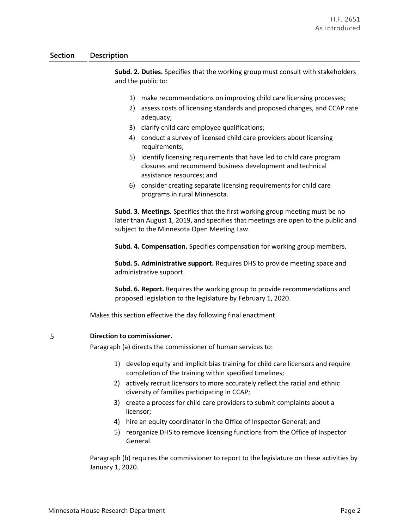## **Section Description**

**Subd. 2. Duties.** Specifies that the working group must consult with stakeholders and the public to:

- 1) make recommendations on improving child care licensing processes;
- 2) assess costs of licensing standards and proposed changes, and CCAP rate adequacy;
- 3) clarify child care employee qualifications;
- 4) conduct a survey of licensed child care providers about licensing requirements;
- 5) identify licensing requirements that have led to child care program closures and recommend business development and technical assistance resources; and
- 6) consider creating separate licensing requirements for child care programs in rural Minnesota.

**Subd. 3. Meetings.** Specifies that the first working group meeting must be no later than August 1, 2019, and specifies that meetings are open to the public and subject to the Minnesota Open Meeting Law.

**Subd. 4. Compensation.** Specifies compensation for working group members.

**Subd. 5. Administrative support.** Requires DHS to provide meeting space and administrative support.

**Subd. 6. Report.** Requires the working group to provide recommendations and proposed legislation to the legislature by February 1, 2020.

Makes this section effective the day following final enactment.

## 5 **Direction to commissioner.**

Paragraph (a) directs the commissioner of human services to:

- 1) develop equity and implicit bias training for child care licensors and require completion of the training within specified timelines;
- 2) actively recruit licensors to more accurately reflect the racial and ethnic diversity of families participating in CCAP;
- 3) create a process for child care providers to submit complaints about a licensor;
- 4) hire an equity coordinator in the Office of Inspector General; and
- 5) reorganize DHS to remove licensing functions from the Office of Inspector General.

Paragraph (b) requires the commissioner to report to the legislature on these activities by January 1, 2020.